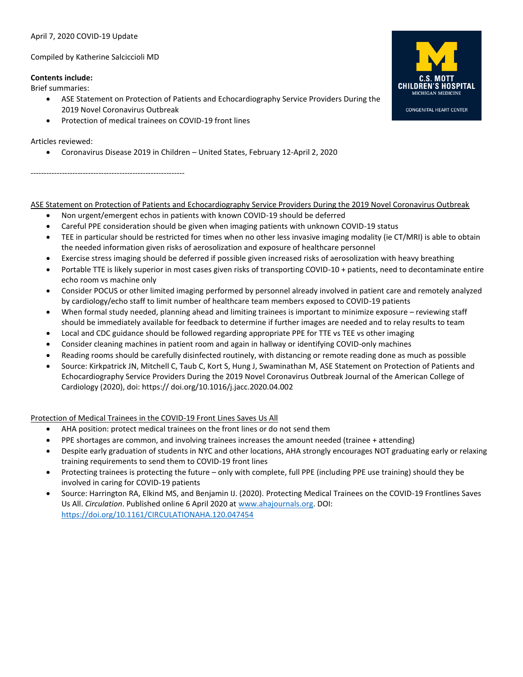# April 7, 2020 COVID-19 Update

#### Compiled by Katherine Salciccioli MD

### **Contents include:**

Brief summaries:

- ASE Statement on Protection of Patients and Echocardiography Service Providers During the 2019 Novel Coronavirus Outbreak
- Protection of medical trainees on COVID-19 front lines

# Articles reviewed:

• Coronavirus Disease 2019 in Children – United States, February 12-April 2, 2020

-----------------------------------------------------------

# ASE Statement on Protection of Patients and Echocardiography Service Providers During the 2019 Novel Coronavirus Outbreak

- Non urgent/emergent echos in patients with known COVID-19 should be deferred
- Careful PPE consideration should be given when imaging patients with unknown COVID-19 status
- TEE in particular should be restricted for times when no other less invasive imaging modality (ie CT/MRI) is able to obtain the needed information given risks of aerosolization and exposure of healthcare personnel
- Exercise stress imaging should be deferred if possible given increased risks of aerosolization with heavy breathing
- Portable TTE is likely superior in most cases given risks of transporting COVID-10 + patients, need to decontaminate entire echo room vs machine only
- Consider POCUS or other limited imaging performed by personnel already involved in patient care and remotely analyzed by cardiology/echo staff to limit number of healthcare team members exposed to COVID-19 patients
- When formal study needed, planning ahead and limiting trainees is important to minimize exposure reviewing staff should be immediately available for feedback to determine if further images are needed and to relay results to team
- Local and CDC guidance should be followed regarding appropriate PPE for TTE vs TEE vs other imaging
- Consider cleaning machines in patient room and again in hallway or identifying COVID-only machines
- Reading rooms should be carefully disinfected routinely, with distancing or remote reading done as much as possible
- Source: Kirkpatrick JN, Mitchell C, Taub C, Kort S, Hung J, Swaminathan M, ASE Statement on Protection of Patients and Echocardiography Service Providers During the 2019 Novel Coronavirus Outbreak Journal of the American College of Cardiology (2020), doi: https:// doi.org/10.1016/j.jacc.2020.04.002

Protection of Medical Trainees in the COVID-19 Front Lines Saves Us All

- AHA position: protect medical trainees on the front lines or do not send them
- PPE shortages are common, and involving trainees increases the amount needed (trainee + attending)
- Despite early graduation of students in NYC and other locations, AHA strongly encourages NOT graduating early or relaxing training requirements to send them to COVID-19 front lines
- Protecting trainees is protecting the future only with complete, full PPE (including PPE use training) should they be involved in caring for COVID-19 patients
- Source: Harrington RA, Elkind MS, and Benjamin IJ. (2020). Protecting Medical Trainees on the COVID-19 Frontlines Saves Us All. *Circulation*. Published online 6 April 2020 at [www.ahajournals.org.](http://www.ahajournals.org/) DOI: <https://doi.org/10.1161/CIRCULATIONAHA.120.047454>



**CONGENITAL HEART CENTER**